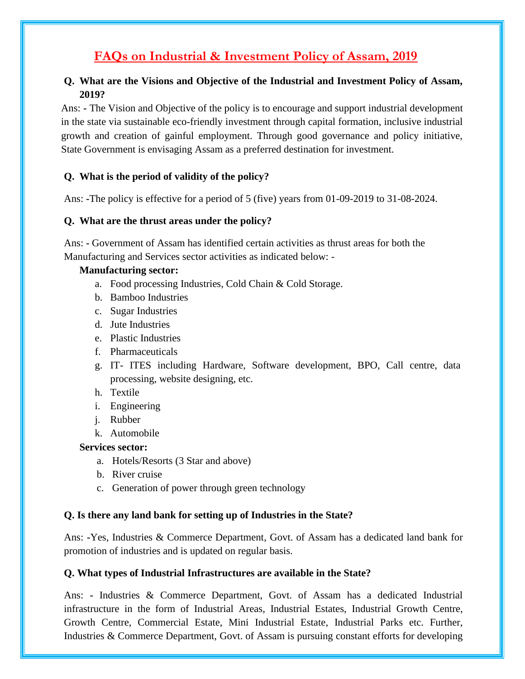# **FAQs on Industrial & Investment Policy of Assam, 2019**

## **Q. What are the Visions and Objective of the Industrial and Investment Policy of Assam, 2019?**

Ans: **-** The Vision and Objective of the policy is to encourage and support industrial development in the state via sustainable eco-friendly investment through capital formation, inclusive industrial growth and creation of gainful employment. Through good governance and policy initiative, State Government is envisaging Assam as a preferred destination for investment.

## **Q. What is the period of validity of the policy?**

Ans: **-**The policy is effective for a period of 5 (five) years from 01-09-2019 to 31-08-2024.

#### **Q. What are the thrust areas under the policy?**

Ans: **-** Government of Assam has identified certain activities as thrust areas for both the Manufacturing and Services sector activities as indicated below: -

#### **Manufacturing sector:**

- a. Food processing Industries, Cold Chain & Cold Storage.
- b. Bamboo Industries
- c. Sugar Industries
- d. Jute Industries
- e. Plastic Industries
- f. Pharmaceuticals
- g. IT- ITES including Hardware, Software development, BPO, Call centre, data processing, website designing, etc.
- h. Textile
- i. Engineering
- j. Rubber
- k. Automobile

#### **Services sector:**

- a. Hotels/Resorts (3 Star and above)
- b. River cruise
- c. Generation of power through green technology

#### **Q. Is there any land bank for setting up of Industries in the State?**

Ans: **-**Yes, Industries & Commerce Department, Govt. of Assam has a dedicated land bank for promotion of industries and is updated on regular basis.

#### **Q. What types of Industrial Infrastructures are available in the State?**

Ans: **-** Industries & Commerce Department, Govt. of Assam has a dedicated Industrial infrastructure in the form of Industrial Areas, Industrial Estates, Industrial Growth Centre, Growth Centre, Commercial Estate, Mini Industrial Estate, Industrial Parks etc. Further, Industries & Commerce Department, Govt. of Assam is pursuing constant efforts for developing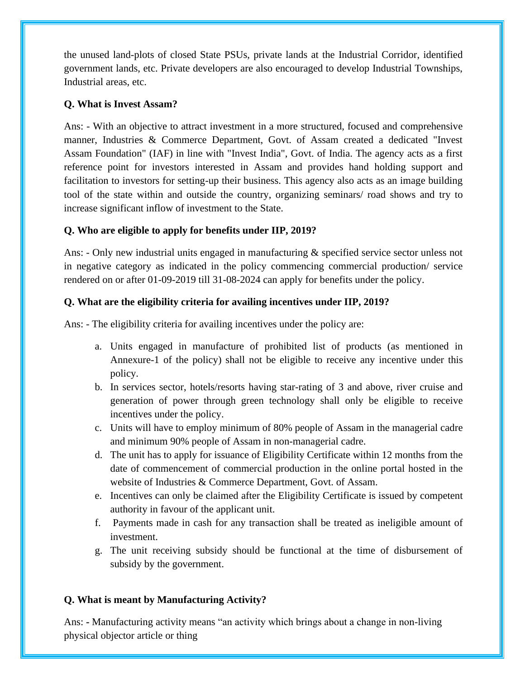the unused land-plots of closed State PSUs, private lands at the Industrial Corridor, identified government lands, etc. Private developers are also encouraged to develop Industrial Townships, Industrial areas, etc.

#### **Q. What is Invest Assam?**

Ans: - With an objective to attract investment in a more structured, focused and comprehensive manner, Industries & Commerce Department, Govt. of Assam created a dedicated "Invest Assam Foundation" (IAF) in line with "Invest India", Govt. of India. The agency acts as a first reference point for investors interested in Assam and provides hand holding support and facilitation to investors for setting-up their business. This agency also acts as an image building tool of the state within and outside the country, organizing seminars/ road shows and try to increase significant inflow of investment to the State.

# **Q. Who are eligible to apply for benefits under IIP, 2019?**

Ans: - Only new industrial units engaged in manufacturing & specified service sector unless not in negative category as indicated in the policy commencing commercial production/ service rendered on or after 01-09-2019 till 31-08-2024 can apply for benefits under the policy.

## **Q. What are the eligibility criteria for availing incentives under IIP, 2019?**

Ans: - The eligibility criteria for availing incentives under the policy are:

- a. Units engaged in manufacture of prohibited list of products (as mentioned in Annexure-1 of the policy) shall not be eligible to receive any incentive under this policy.
- b. In services sector, hotels/resorts having star-rating of 3 and above, river cruise and generation of power through green technology shall only be eligible to receive incentives under the policy.
- c. Units will have to employ minimum of 80% people of Assam in the managerial cadre and minimum 90% people of Assam in non-managerial cadre.
- d. The unit has to apply for issuance of Eligibility Certificate within 12 months from the date of commencement of commercial production in the online portal hosted in the website of Industries & Commerce Department, Govt. of Assam.
- e. Incentives can only be claimed after the Eligibility Certificate is issued by competent authority in favour of the applicant unit.
- f. Payments made in cash for any transaction shall be treated as ineligible amount of investment.
- g. The unit receiving subsidy should be functional at the time of disbursement of subsidy by the government.

# **Q. What is meant by Manufacturing Activity?**

Ans: **-** Manufacturing activity means "an activity which brings about a change in non-living physical objector article or thing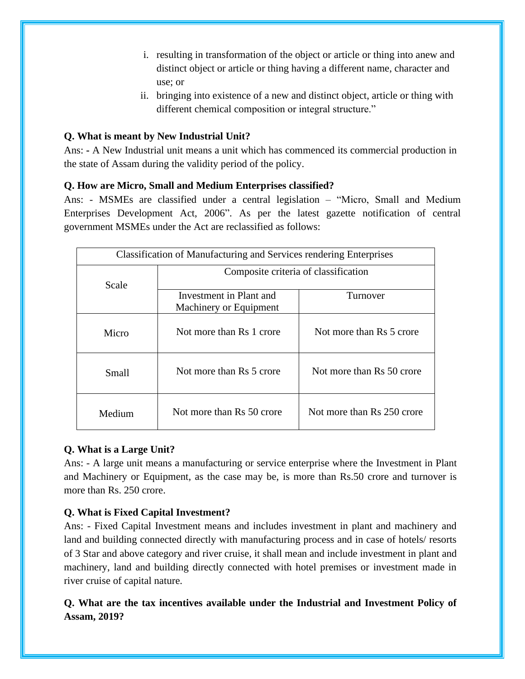- i. resulting in transformation of the object or article or thing into anew and distinct object or article or thing having a different name, character and use; or
- ii. bringing into existence of a new and distinct object, article or thing with different chemical composition or integral structure."

#### **Q. What is meant by New Industrial Unit?**

Ans: **-** A New Industrial unit means a unit which has commenced its commercial production in the state of Assam during the validity period of the policy.

## **Q. How are Micro, Small and Medium Enterprises classified?**

Ans: - MSMEs are classified under a central legislation – "Micro, Small and Medium Enterprises Development Act, 2006". As per the latest gazette notification of central government MSMEs under the Act are reclassified as follows:

| <b>Classification of Manufacturing and Services rendering Enterprises</b> |                                                   |                            |  |
|---------------------------------------------------------------------------|---------------------------------------------------|----------------------------|--|
| Scale                                                                     | Composite criteria of classification              |                            |  |
|                                                                           | Investment in Plant and<br>Machinery or Equipment | Turnover                   |  |
| Micro                                                                     | Not more than Rs 1 crore                          | Not more than Rs 5 crore   |  |
| Small                                                                     | Not more than Rs 5 crore                          | Not more than Rs 50 crore  |  |
| Medium                                                                    | Not more than Rs 50 crore                         | Not more than Rs 250 crore |  |

#### **Q. What is a Large Unit?**

Ans: - A large unit means a manufacturing or service enterprise where the Investment in Plant and Machinery or Equipment, as the case may be, is more than Rs.50 crore and turnover is more than Rs. 250 crore.

# **Q. What is Fixed Capital Investment?**

Ans: - Fixed Capital Investment means and includes investment in plant and machinery and land and building connected directly with manufacturing process and in case of hotels/ resorts of 3 Star and above category and river cruise, it shall mean and include investment in plant and machinery, land and building directly connected with hotel premises or investment made in river cruise of capital nature.

# **Q. What are the tax incentives available under the Industrial and Investment Policy of Assam, 2019?**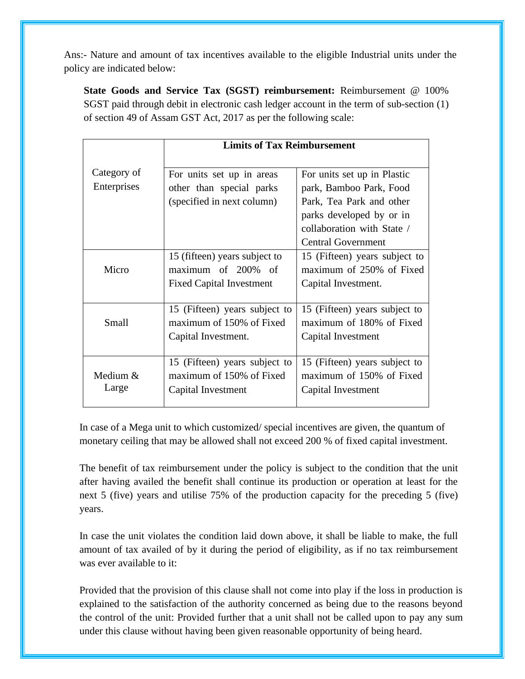Ans:- Nature and amount of tax incentives available to the eligible Industrial units under the policy are indicated below:

**State Goods and Service Tax (SGST) reimbursement:** Reimbursement @ 100% SGST paid through debit in electronic cash ledger account in the term of sub-section (1) of section 49 of Assam GST Act, 2017 as per the following scale:

|              | <b>Limits of Tax Reimbursement</b> |                               |
|--------------|------------------------------------|-------------------------------|
|              |                                    |                               |
| Category of  | For units set up in areas          | For units set up in Plastic   |
| Enterprises  | other than special parks           | park, Bamboo Park, Food       |
|              | (specified in next column)         | Park, Tea Park and other      |
|              |                                    | parks developed by or in      |
|              |                                    | collaboration with State /    |
|              |                                    | <b>Central Government</b>     |
|              | 15 (fifteen) years subject to      | 15 (Fifteen) years subject to |
| Micro        | maximum of 200% of                 | maximum of 250% of Fixed      |
|              | <b>Fixed Capital Investment</b>    | Capital Investment.           |
|              |                                    |                               |
|              | 15 (Fifteen) years subject to      | 15 (Fifteen) years subject to |
| <b>Small</b> | maximum of 150% of Fixed           | maximum of 180% of Fixed      |
|              | Capital Investment.                | Capital Investment            |
|              |                                    |                               |
|              | 15 (Fifteen) years subject to      | 15 (Fifteen) years subject to |
| Medium &     | maximum of 150% of Fixed           | maximum of 150% of Fixed      |
| Large        | Capital Investment                 | Capital Investment            |
|              |                                    |                               |

In case of a Mega unit to which customized/ special incentives are given, the quantum of monetary ceiling that may be allowed shall not exceed 200 % of fixed capital investment.

The benefit of tax reimbursement under the policy is subject to the condition that the unit after having availed the benefit shall continue its production or operation at least for the next 5 (five) years and utilise 75% of the production capacity for the preceding 5 (five) years.

In case the unit violates the condition laid down above, it shall be liable to make, the full amount of tax availed of by it during the period of eligibility, as if no tax reimbursement was ever available to it:

Provided that the provision of this clause shall not come into play if the loss in production is explained to the satisfaction of the authority concerned as being due to the reasons beyond the control of the unit: Provided further that a unit shall not be called upon to pay any sum under this clause without having been given reasonable opportunity of being heard.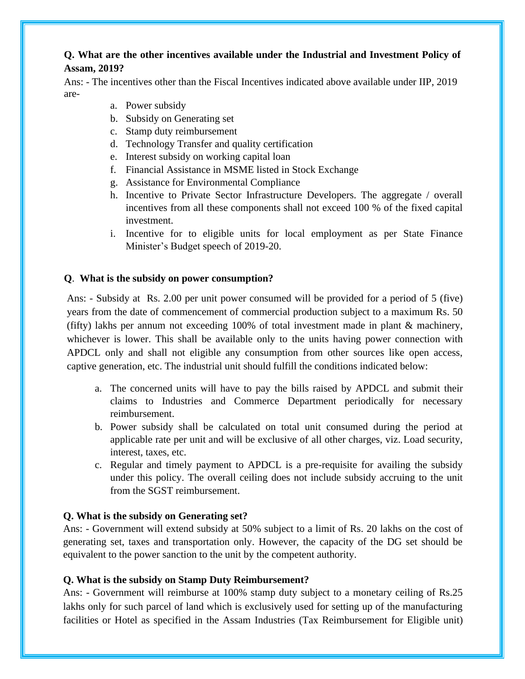#### **Q. What are the other incentives available under the Industrial and Investment Policy of Assam, 2019?**

Ans: - The incentives other than the Fiscal Incentives indicated above available under IIP, 2019 are-

- a. Power subsidy
- b. Subsidy on Generating set
- c. Stamp duty reimbursement
- d. Technology Transfer and quality certification
- e. Interest subsidy on working capital loan
- f. Financial Assistance in MSME listed in Stock Exchange
- g. Assistance for Environmental Compliance
- h. Incentive to Private Sector Infrastructure Developers. The aggregate / overall incentives from all these components shall not exceed 100 % of the fixed capital investment.
- i. Incentive for to eligible units for local employment as per State Finance Minister's Budget speech of 2019-20.

#### **Q**. **What is the subsidy on power consumption?**

Ans: - Subsidy at Rs. 2.00 per unit power consumed will be provided for a period of 5 (five) years from the date of commencement of commercial production subject to a maximum Rs. 50 (fifty) lakhs per annum not exceeding 100% of total investment made in plant & machinery, whichever is lower. This shall be available only to the units having power connection with APDCL only and shall not eligible any consumption from other sources like open access, captive generation, etc. The industrial unit should fulfill the conditions indicated below:

- a. The concerned units will have to pay the bills raised by APDCL and submit their claims to Industries and Commerce Department periodically for necessary reimbursement.
- b. Power subsidy shall be calculated on total unit consumed during the period at applicable rate per unit and will be exclusive of all other charges, viz. Load security, interest, taxes, etc.
- c. Regular and timely payment to APDCL is a pre-requisite for availing the subsidy under this policy. The overall ceiling does not include subsidy accruing to the unit from the SGST reimbursement.

#### **Q. What is the subsidy on Generating set?**

Ans: - Government will extend subsidy at 50% subject to a limit of Rs. 20 lakhs on the cost of generating set, taxes and transportation only. However, the capacity of the DG set should be equivalent to the power sanction to the unit by the competent authority.

#### **Q. What is the subsidy on Stamp Duty Reimbursement?**

Ans: - Government will reimburse at 100% stamp duty subject to a monetary ceiling of Rs.25 lakhs only for such parcel of land which is exclusively used for setting up of the manufacturing facilities or Hotel as specified in the Assam Industries (Tax Reimbursement for Eligible unit)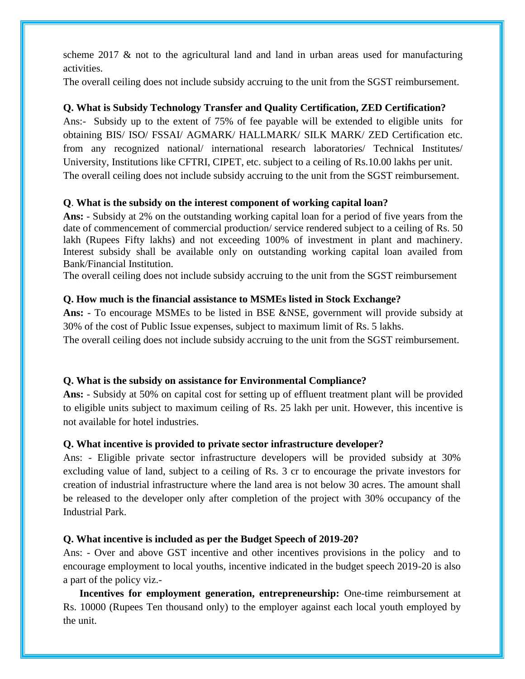scheme 2017  $\&$  not to the agricultural land and land in urban areas used for manufacturing activities.

The overall ceiling does not include subsidy accruing to the unit from the SGST reimbursement.

#### **Q. What is Subsidy Technology Transfer and Quality Certification, ZED Certification?**

Ans:- Subsidy up to the extent of 75% of fee payable will be extended to eligible units for obtaining BIS/ ISO/ FSSAI/ AGMARK/ HALLMARK/ SILK MARK/ ZED Certification etc. from any recognized national/ international research laboratories/ Technical Institutes/ University, Institutions like CFTRI, CIPET, etc. subject to a ceiling of Rs.10.00 lakhs per unit. The overall ceiling does not include subsidy accruing to the unit from the SGST reimbursement.

## **Q**. **What is the subsidy on the interest component of working capital loan?**

**Ans:** - Subsidy at 2% on the outstanding working capital loan for a period of five years from the date of commencement of commercial production/ service rendered subject to a ceiling of Rs. 50 lakh (Rupees Fifty lakhs) and not exceeding 100% of investment in plant and machinery. Interest subsidy shall be available only on outstanding working capital loan availed from Bank/Financial Institution.

The overall ceiling does not include subsidy accruing to the unit from the SGST reimbursement

#### **Q. How much is the financial assistance to MSMEs listed in Stock Exchange?**

**Ans:** - To encourage MSMEs to be listed in BSE &NSE, government will provide subsidy at 30% of the cost of Public Issue expenses, subject to maximum limit of Rs. 5 lakhs.

The overall ceiling does not include subsidy accruing to the unit from the SGST reimbursement.

#### **Q. What is the subsidy on assistance for Environmental Compliance?**

**Ans:** - Subsidy at 50% on capital cost for setting up of effluent treatment plant will be provided to eligible units subject to maximum ceiling of Rs. 25 lakh per unit. However, this incentive is not available for hotel industries.

#### **Q. What incentive is provided to private sector infrastructure developer?**

Ans: - Eligible private sector infrastructure developers will be provided subsidy at 30% excluding value of land, subject to a ceiling of Rs. 3 cr to encourage the private investors for creation of industrial infrastructure where the land area is not below 30 acres. The amount shall be released to the developer only after completion of the project with 30% occupancy of the Industrial Park.

#### **Q. What incentive is included as per the Budget Speech of 2019-20?**

Ans: - Over and above GST incentive and other incentives provisions in the policy and to encourage employment to local youths, incentive indicated in the budget speech 2019-20 is also a part of the policy viz.-

**Incentives for employment generation, entrepreneurship:** One-time reimbursement at Rs. 10000 (Rupees Ten thousand only) to the employer against each local youth employed by the unit.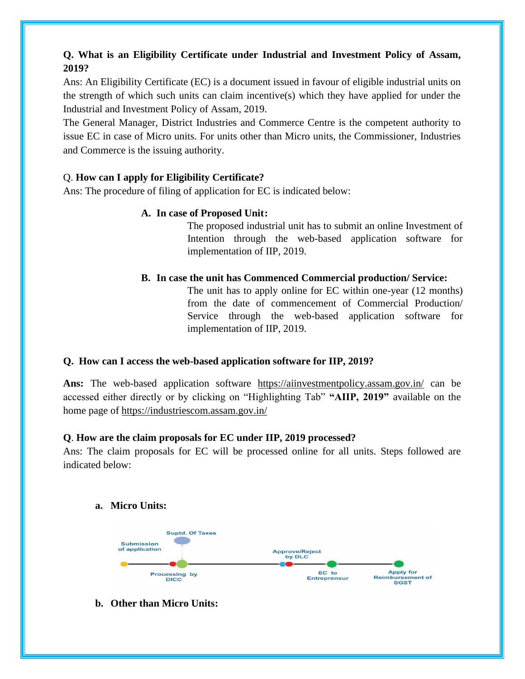# **Q. What is an Eligibility Certificate under Industrial and Investment Policy of Assam, 2019?**

Ans: An Eligibility Certificate (EC) is a document issued in favour of eligible industrial units on the strength of which such units can claim incentive(s) which they have applied for under the Industrial and Investment Policy of Assam, 2019.

The General Manager, District Industries and Commerce Centre is the competent authority to issue EC in case of Micro units. For units other than Micro units, the Commissioner, Industries and Commerce is the issuing authority.

# Q. **How can I apply for Eligibility Certificate?**

Ans: The procedure of filing of application for EC is indicated below:

## **A. In case of Proposed Unit:**

The proposed industrial unit has to submit an online Investment of Intention through the web-based application software for implementation of IIP, 2019.

## **B. In case the unit has Commenced Commercial production/ Service:**

The unit has to apply online for EC within one-year (12 months) from the date of commencement of Commercial Production/ Service through the web-based application software for implementation of IIP, 2019.

# **Q. How can I access the web-based application software for IIP, 2019?**

**Ans:** The web-based application software <https://aiinvestmentpolicy.assam.gov.in/> can be accessed either directly or by clicking on "Highlighting Tab" **"AIIP, 2019"** available on the home page of<https://industriescom.assam.gov.in/>

#### **Q**. **How are the claim proposals for EC under IIP, 2019 processed?**

Ans: The claim proposals for EC will be processed online for all units. Steps followed are indicated below:

#### **a. Micro Units:**



# **b. Other than Micro Units:**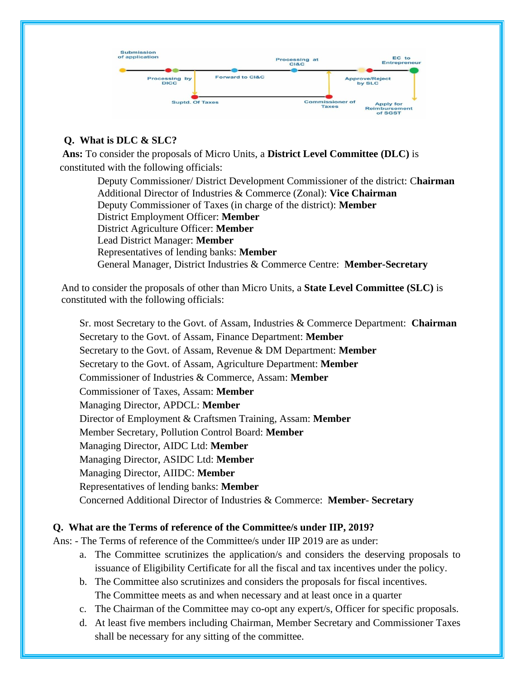

# **Q. What is DLC & SLC?**

 **Ans:** To consider the proposals of Micro Units, a **District Level Committee (DLC)** is constituted with the following officials:

 Deputy Commissioner/ District Development Commissioner of the district: C**hairman** Additional Director of Industries & Commerce (Zonal): **Vice Chairman** Deputy Commissioner of Taxes (in charge of the district): **Member** District Employment Officer: **Member** District Agriculture Officer: **Member** Lead District Manager: **Member** Representatives of lending banks: **Member** General Manager, District Industries & Commerce Centre: **Member-Secretary**

And to consider the proposals of other than Micro Units, a **State Level Committee (SLC)** is constituted with the following officials:

Sr. most Secretary to the Govt. of Assam, Industries & Commerce Department: **Chairman** Secretary to the Govt. of Assam, Finance Department: **Member** Secretary to the Govt. of Assam, Revenue & DM Department: **Member** Secretary to the Govt. of Assam, Agriculture Department: **Member** Commissioner of Industries & Commerce, Assam: **Member** Commissioner of Taxes, Assam: **Member** Managing Director, APDCL: **Member** Director of Employment & Craftsmen Training, Assam: **Member** Member Secretary, Pollution Control Board: **Member** Managing Director, AIDC Ltd: **Member** Managing Director, ASIDC Ltd: **Member** Managing Director, AIIDC: **Member** Representatives of lending banks: **Member** Concerned Additional Director of Industries & Commerce: **Member- Secretary**

# **Q. What are the Terms of reference of the Committee/s under IIP, 2019?**

Ans: - The Terms of reference of the Committee/s under IIP 2019 are as under:

- a. The Committee scrutinizes the application/s and considers the deserving proposals to issuance of Eligibility Certificate for all the fiscal and tax incentives under the policy.
- b. The Committee also scrutinizes and considers the proposals for fiscal incentives. The Committee meets as and when necessary and at least once in a quarter
- c. The Chairman of the Committee may co-opt any expert/s, Officer for specific proposals.
- d. At least five members including Chairman, Member Secretary and Commissioner Taxes shall be necessary for any sitting of the committee.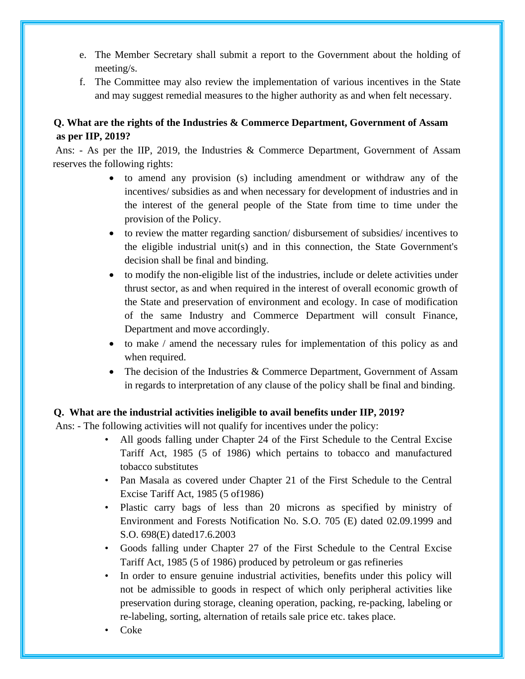- e. The Member Secretary shall submit a report to the Government about the holding of meeting/s.
- f. The Committee may also review the implementation of various incentives in the State and may suggest remedial measures to the higher authority as and when felt necessary.

# **Q. What are the rights of the Industries & Commerce Department, Government of Assam as per IIP, 2019?**

Ans: - As per the IIP, 2019, the Industries & Commerce Department, Government of Assam reserves the following rights:

- to amend any provision (s) including amendment or withdraw any of the incentives/ subsidies as and when necessary for development of industries and in the interest of the general people of the State from time to time under the provision of the Policy.
- to review the matter regarding sanction/disbursement of subsidies/incentives to the eligible industrial unit(s) and in this connection, the State Government's decision shall be final and binding.
- to modify the non-eligible list of the industries, include or delete activities under thrust sector, as and when required in the interest of overall economic growth of the State and preservation of environment and ecology. In case of modification of the same Industry and Commerce Department will consult Finance, Department and move accordingly.
- to make / amend the necessary rules for implementation of this policy as and when required.
- The decision of the Industries & Commerce Department, Government of Assam in regards to interpretation of any clause of the policy shall be final and binding.

#### **Q. What are the industrial activities ineligible to avail benefits under IIP, 2019?**

Ans: - The following activities will not qualify for incentives under the policy:

- All goods falling under Chapter 24 of the First Schedule to the Central Excise Tariff Act, 1985 (5 of 1986) which pertains to tobacco and manufactured tobacco substitutes
- Pan Masala as covered under Chapter 21 of the First Schedule to the Central Excise Tariff Act, 1985 (5 of1986)
- Plastic carry bags of less than 20 microns as specified by ministry of Environment and Forests Notification No. S.O. 705 (E) dated 02.09.1999 and S.O. 698(E) dated17.6.2003
- Goods falling under Chapter 27 of the First Schedule to the Central Excise Tariff Act, 1985 (5 of 1986) produced by petroleum or gas refineries
- In order to ensure genuine industrial activities, benefits under this policy will not be admissible to goods in respect of which only peripheral activities like preservation during storage, cleaning operation, packing, re-packing, labeling or re-labeling, sorting, alternation of retails sale price etc. takes place.
- Coke